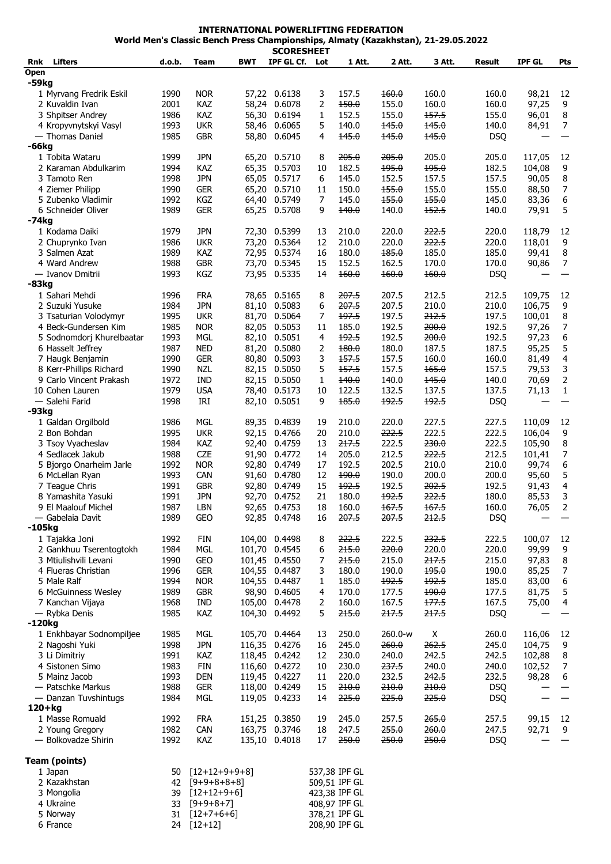| <b>INTERNATIONAL POWERLIFTING FEDERATION</b>                                      |
|-----------------------------------------------------------------------------------|
| World Men's Classic Bench Press Championships, Almaty (Kazakhstan), 21-29.05.2022 |
| CCADECUEET                                                                        |

|                           |        |                  |            | SCORESHEET    |                |                 |         |        |            |               |                |
|---------------------------|--------|------------------|------------|---------------|----------------|-----------------|---------|--------|------------|---------------|----------------|
| <b>Lifters</b><br>Rnk     | d.o.b. | Team             | <b>BWT</b> | IPF GL Cf.    | Lot            | 1 Att.          | 2 Att.  | 3 Att. | Result     | <b>IPF GL</b> | Pts            |
| <b>Open</b>               |        |                  |            |               |                |                 |         |        |            |               |                |
| $-59kg$                   |        |                  |            |               |                |                 |         |        |            |               |                |
| 1 Myrvang Fredrik Eskil   | 1990   | <b>NOR</b>       |            | 57,22 0.6138  | 3              | 157.5           | 160.0   | 160.0  | 160.0      | 98,21         | 12             |
| 2 Kuvaldin Ivan           | 2001   | KAZ              | 58,24      | 0.6078        | 2              | 150.0           | 155.0   | 160.0  | 160.0      | 97,25         | 9              |
| 3 Shpitser Andrey         | 1986   | KAZ              | 56,30      | 0.6194        | 1              | 152.5           | 155.0   | 157.5  | 155.0      | 96,01         | 8              |
| 4 Kropyvnytskyi Vasyl     | 1993   | <b>UKR</b>       | 58,46      | 0.6065        | 5              | 140.0           | 145.0   | 145.0  | 140.0      | 84,91         | $\overline{7}$ |
| — Thomas Daniel           | 1985   | <b>GBR</b>       | 58,80      | 0.6045        | 4              | 145.0           | 145.0   | 145.0  | <b>DSQ</b> |               |                |
| -66kg                     |        |                  |            |               |                |                 |         |        |            |               |                |
| 1 Tobita Wataru           | 1999   | <b>JPN</b>       |            | 65,20 0.5710  | 8              | 205.0           | 205.0   | 205.0  | 205.0      | 117,05        | 12             |
| 2 Karaman Abdulkarim      | 1994   | KAZ              |            | 65,35 0.5703  | 10             | 182.5           | 195.0   | 195.0  | 182.5      | 104,08        | 9              |
| 3 Tamoto Ren              | 1998   | <b>JPN</b>       |            | 65,05 0.5717  | 6              | 145.0           | 152.5   | 157.5  | 157.5      | 90,05         | 8              |
| 4 Ziemer Philipp          | 1990   | <b>GER</b>       |            | 65,20 0.5710  | 11             | 150.0           | 155.0   | 155.0  | 155.0      | 88,50         | $\overline{7}$ |
| 5 Zubenko Vladimir        | 1992   | KGZ              | 64,40      | 0.5749        | $\overline{7}$ | 145.0           | 155.0   | 155.0  | 145.0      | 83,36         | 6              |
| 6 Schneider Oliver        | 1989   | <b>GER</b>       |            | 65,25 0.5708  | 9              | 140.0           | 140.0   | 152.5  | 140.0      | 79,91         | 5              |
| -74kg                     |        |                  |            |               |                |                 |         |        |            |               |                |
| 1 Kodama Daiki            | 1979   | <b>JPN</b>       |            | 72,30 0.5399  | 13             | 210.0           | 220.0   | 222.5  | 220.0      | 118,79        | 12             |
| 2 Chuprynko Ivan          | 1986   | <b>UKR</b>       | 73,20      | 0.5364        | 12             | 210.0           | 220.0   | 222.5  | 220.0      | 118,01        | 9              |
| 3 Salmen Azat             | 1989   | <b>KAZ</b>       |            | 72,95 0.5374  | 16             | 180.0           | 185.0   | 185.0  | 185.0      | 99,41         | 8              |
| 4 Ward Andrew             | 1988   | <b>GBR</b>       |            | 73,70 0.5345  | 15             | 152.5           | 162.5   | 170.0  | 170.0      | 90,86         | $\overline{7}$ |
| — Ivanov Dmitrii          | 1993   | KGZ              |            | 73,95 0.5335  | 14             | 160.0           | 160.0   | 160.0  | <b>DSQ</b> |               |                |
| $-83kg$                   |        |                  |            |               |                |                 |         |        |            |               |                |
| 1 Sahari Mehdi            | 1996   | <b>FRA</b>       |            | 78,65 0.5165  | 8              | 207.5           | 207.5   | 212.5  | 212.5      | 109,75        | 12             |
| 2 Suzuki Yusuke           | 1984   | <b>JPN</b>       |            | 81,10 0.5083  | 6              | 207.5           | 207.5   | 210.0  | 210.0      | 106,75        | 9              |
| 3 Tsaturian Volodymyr     | 1995   | <b>UKR</b>       | 81,70      | 0.5064        | 7              | 197.5           | 197.5   | 212.5  | 197.5      | 100,01        | 8              |
| 4 Beck-Gundersen Kim      | 1985   | <b>NOR</b>       |            | 82,05 0.5053  | 11             | 185.0           | 192.5   | 200.0  | 192.5      | 97,26         | 7              |
| 5 Sodnomdorj Khurelbaatar | 1993   | <b>MGL</b>       |            | 82,10 0.5051  | 4              | 192.5           | 192.5   | 200.0  | 192.5      | 97,23         | 6              |
| 6 Hasselt Jeffrey         | 1987   | <b>NED</b>       | 81,20      | 0.5080        | 2              | 180.0           | 180.0   | 187.5  | 187.5      | 95,25         | 5              |
| 7 Haugk Benjamin          | 1990   | <b>GER</b>       |            | 80,80 0.5093  | 3              | 157.5           | 157.5   | 160.0  | 160.0      | 81,49         | 4              |
| 8 Kerr-Phillips Richard   | 1990   | <b>NZL</b>       |            | 82,15 0.5050  | 5              | 157.5           | 157.5   | 165.0  | 157.5      | 79,53         | 3              |
| 9 Carlo Vincent Prakash   | 1972   | <b>IND</b>       |            | 82,15 0.5050  | $\mathbf{1}$   | 140.0           | 140.0   | 145.0  | 140.0      | 70,69         | $\overline{2}$ |
| 10 Cohen Lauren           | 1979   | <b>USA</b>       | 78,40      | 0.5173        | 10             | 122.5           | 132.5   | 137.5  | 137.5      | 71,13         | $\mathbf{1}$   |
| - Salehi Farid            | 1998   | IRI              |            | 82,10 0.5051  | 9              | 185.0           | 192.5   | 192.5  | <b>DSQ</b> |               |                |
| -93kg                     |        |                  |            |               |                |                 |         |        |            |               |                |
| 1 Galdan Orgilbold        | 1986   | <b>MGL</b>       | 89,35      | 0.4839        | 19             | 210.0           | 220.0   | 227.5  | 227.5      | 110,09        | 12             |
| 2 Bon Bohdan              | 1995   | <b>UKR</b>       |            | 92,15 0.4766  | 20             | 210.0           | 222.5   | 222.5  | 222.5      | 106,04        | 9              |
| 3 Tsoy Vyacheslav         | 1984   | KAZ              | 92,40      | 0.4759        | 13             | 217.5           | 222.5   | 230.0  | 222.5      | 105,90        | 8              |
| 4 Sedlacek Jakub          | 1988   | <b>CZE</b>       | 91,90      | 0.4772        | 14             | 205.0           | 212.5   | 222.5  | 212.5      | 101,41        | $\overline{7}$ |
| 5 Bjorgo Onarheim Jarle   | 1992   | <b>NOR</b>       | 92,80      | 0.4749        | 17             | 192.5           | 202.5   | 210.0  | 210.0      | 99,74         | 6              |
| 6 McLellan Ryan           | 1993   | <b>CAN</b>       | 91,60      | 0.4780        | 12             | 190.0           | 190.0   | 200.0  | 200.0      | 95,60         | 5              |
| 7 Teague Chris            | 1991   | <b>GBR</b>       | 92,80      | 0.4749        | 15             | 192.5           | 192.5   | 202.5  | 192.5      | 91,43         | 4              |
| 8 Yamashita Yasuki        | 1991   | <b>JPN</b>       | 92,70      | 0.4752        | 21             | 180.0           | 192.5   | 222.5  | 180.0      | 85,53         | 3              |
| 9 El Maalouf Michel       | 1987   | LBN              |            | 92,65 0.4753  | 18             | 160.0           | 167.5   | 167.5  | 160.0      | 76,05         | 2              |
| — Gabelaia Davit          | 1989   | GEO              |            | 92,85 0.4748  | 16             | 207.5           | 207.5   | 212.5  | <b>DSQ</b> |               |                |
| -105kg                    |        |                  |            |               |                |                 |         |        |            |               |                |
| 1 Tajakka Joni            | 1992   | <b>FIN</b>       |            | 104,00 0.4498 | 8              | 222.5           | 222.5   | 232.5  | 222.5      | 100,07        | 12             |
| 2 Gankhuu Tserentogtokh   | 1984   | <b>MGL</b>       |            | 101,70 0.4545 | 6              | 215.0           | 220.0   | 220.0  | 220.0      | 99,99         | 9              |
| 3 Mtiulishvili Levani     | 1990   | <b>GEO</b>       |            | 101,45 0.4550 | 7              | 215.0           | 215.0   | 217.5  | 215.0      | 97,83         | 8              |
| 4 Flueras Christian       | 1996   | <b>GER</b>       |            | 104,55 0.4487 | 3              | 180.0           | 190.0   | 195.0  | 190.0      | 85,25         | $\overline{7}$ |
| 5 Male Ralf               | 1994   | <b>NOR</b>       |            | 104,55 0.4487 | 1              | 185.0           | 192.5   | 192.5  | 185.0      | 83,00         | 6              |
| 6 McGuinness Wesley       | 1989   | <b>GBR</b>       |            | 98,90 0.4605  | 4              | 170.0           | 177.5   | 190.0  | 177.5      | 81,75         | 5              |
| 7 Kanchan Vijaya          | 1968   | IND              |            | 105,00 0.4478 | 2              | 160.0           | 167.5   | 177.5  | 167.5      | 75,00         | 4              |
| — Rybka Denis             | 1985   | KAZ              |            | 104,30 0.4492 | 5              | 215.0           | 217.5   | 217.5  | <b>DSQ</b> |               |                |
| -120kg                    |        |                  |            |               |                |                 |         |        |            |               |                |
| 1 Enkhbayar Sodnompiljee  | 1985   | <b>MGL</b>       |            | 105,70 0.4464 | 13             | 250.0           | 260.0-w | X      | 260.0      | 116,06        | 12             |
| 2 Nagoshi Yuki            | 1998   | <b>JPN</b>       |            | 116,35 0.4276 | 16             | 245.0           | 260.0   | 262.5  | 245.0      | 104,75        | 9              |
| 3 Li Dimitriy             | 1991   | KAZ              |            | 118,45 0.4242 | 12             | 230.0           | 240.0   | 242.5  | 242.5      | 102,88        | $\,8\,$        |
| 4 Sistonen Simo           | 1983   | <b>FIN</b>       |            | 116,60 0.4272 | 10             | 230.0           | 237.5   | 240.0  | 240.0      | 102,52        | 7              |
| 5 Mainz Jacob             | 1993   | <b>DEN</b>       |            | 119,45 0.4227 | 11             | 220.0           | 232.5   | 242.5  | 232.5      | 98,28         | 6              |
| - Patschke Markus         | 1988   | <b>GER</b>       |            | 118,00 0.4249 | 15             | 210.0           | 210.0   | 210.0  | <b>DSQ</b> |               |                |
| - Danzan Tuvshintugs      | 1984   | MGL              |            | 119,05 0.4233 | 14             | 225.0           | 225.0   | 225.0  | <b>DSQ</b> |               |                |
| $120+kg$                  |        |                  |            |               |                |                 |         |        |            |               |                |
| 1 Masse Romuald           | 1992   | <b>FRA</b>       |            | 151,25 0.3850 | 19             | 245.0           | 257.5   | 265.0  | 257.5      | 99,15         | 12             |
| 2 Young Gregory           | 1982   | <b>CAN</b>       |            | 163,75 0.3746 | 18             | 247.5           | 255.0   | 260.0  | 247.5      | 92,71         | 9              |
| - Bolkovadze Shirin       | 1992   | KAZ              |            | 135,10 0.4018 | 17             | 250.0           | 250.0   | 250.0  | <b>DSQ</b> |               |                |
|                           |        |                  |            |               |                |                 |         |        |            |               |                |
| Team (points)             |        |                  |            |               |                |                 |         |        |            |               |                |
| 1 Japan                   | 50     | $[12+12+9+9+8]$  |            |               |                | 537,38 IPF GL   |         |        |            |               |                |
| 2 Kazakhstan              |        | $42 [9+9+8+8+8]$ |            |               |                | 509,51 IPF GL   |         |        |            |               |                |
| 3 Mongolia                |        | $30 [12+12+9+6]$ |            |               |                | $423.38$ TPF GL |         |        |            |               |                |

| 2 Kazakhstan | $42$ [9+9+8+8+8]   | 509,51 IPF GL |
|--------------|--------------------|---------------|
| 3 Mongolia   | $39$ $[12+12+9+6]$ | 423,38 IPF GL |
| 4 Ukraine    | $33 [9+9+8+7]$     | 408,97 IPF GL |
| 5 Norway     | $31$ $[12+7+6+6]$  | 378,21 IPF GL |
| 6 France     | 24 [12+12]         | 208,90 IPF GL |
|              |                    |               |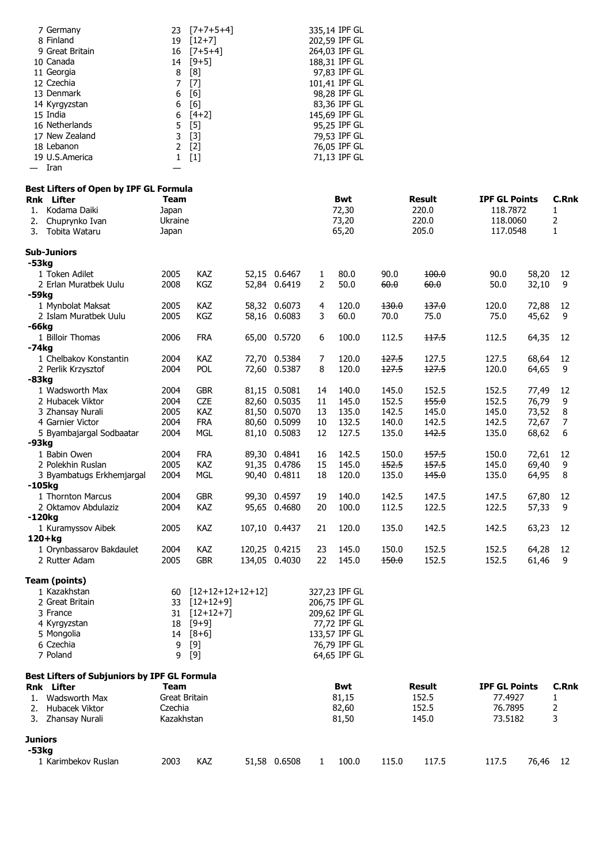| 7 Germany                                    | 23            | $[7+7+5+4]$        |               |              | 335,14 IPF GL |       |        |                      |       |              |
|----------------------------------------------|---------------|--------------------|---------------|--------------|---------------|-------|--------|----------------------|-------|--------------|
| 8 Finland                                    | 19            | $[12+7]$           |               |              | 202,59 IPF GL |       |        |                      |       |              |
| 9 Great Britain                              | 16            | $[7+5+4]$          |               |              | 264,03 IPF GL |       |        |                      |       |              |
| 10 Canada                                    | 14            | $[9+5]$            |               |              | 188,31 IPF GL |       |        |                      |       |              |
| 11 Georgia                                   | 8             | [8]                |               |              | 97,83 IPF GL  |       |        |                      |       |              |
| 12 Czechia                                   | 7             | $[7]$              |               |              | 101,41 IPF GL |       |        |                      |       |              |
| 13 Denmark                                   | 6             | [6]                |               |              | 98,28 IPF GL  |       |        |                      |       |              |
| 14 Kyrgyzstan                                | 6             | [6]                |               |              | 83,36 IPF GL  |       |        |                      |       |              |
| 15 India                                     | 6             | $[4+2]$            |               |              | 145,69 IPF GL |       |        |                      |       |              |
| 16 Netherlands                               | 5             | $[5]$              |               |              | 95,25 IPF GL  |       |        |                      |       |              |
| 17 New Zealand                               | 3             | $[3]$              |               |              | 79,53 IPF GL  |       |        |                      |       |              |
| 18 Lebanon                                   | 2             | $[2]$              |               |              | 76,05 IPF GL  |       |        |                      |       |              |
| 19 U.S.America                               | $\mathbf{1}$  | $[1]$              |               |              | 71,13 IPF GL  |       |        |                      |       |              |
| Iran                                         |               |                    |               |              |               |       |        |                      |       |              |
| Best Lifters of Open by IPF GL Formula       |               |                    |               |              |               |       |        |                      |       |              |
| <b>Rnk</b> Lifter                            | Team          |                    |               |              | Bwt           |       | Result | <b>IPF GL Points</b> |       | <b>C.Rnk</b> |
| Kodama Daiki<br>1.                           | Japan         |                    |               |              | 72,30         |       | 220.0  | 118.7872             |       | 1            |
| Chuprynko Ivan<br>2.                         | Ukraine       |                    |               |              | 73,20         |       | 220.0  | 118.0060             |       | 2            |
| Tobita Wataru<br>3.                          | Japan         |                    |               |              | 65,20         |       | 205.0  | 117.0548             |       | $\mathbf{1}$ |
|                                              |               |                    |               |              |               |       |        |                      |       |              |
| <b>Sub-Juniors</b>                           |               |                    |               |              |               |       |        |                      |       |              |
| -53kg                                        |               |                    |               |              |               |       |        |                      |       |              |
| 1 Token Adilet                               | 2005          | <b>KAZ</b>         | 52,15 0.6467  | 1            | 80.0          | 90.0  | 100.0  | 90.0                 | 58,20 | 12           |
| 2 Erlan Muratbek Uulu                        | 2008          | KGZ                | 52,84 0.6419  | 2            | 50.0          | 60.0  | 60.0   | 50.0                 | 32,10 | 9            |
| -59kg                                        |               |                    |               |              |               |       |        |                      |       |              |
| 1 Mynbolat Maksat                            | 2005          | <b>KAZ</b>         | 58,32 0.6073  | 4            | 120.0         | 130.0 | 137.0  | 120.0                | 72,88 | 12           |
| 2 Islam Muratbek Uulu                        | 2005          | KGZ                | 58,16 0.6083  | 3            | 60.0          | 70.0  | 75.0   | 75.0                 | 45,62 | 9            |
| -66kg                                        |               |                    |               |              |               |       |        |                      |       |              |
| 1 Billoir Thomas                             | 2006          | <b>FRA</b>         | 65,00 0.5720  | 6            | 100.0         | 112.5 | 117.5  | 112.5                | 64,35 | 12           |
| -74kg                                        |               |                    |               |              |               |       |        |                      |       |              |
| 1 Chelbakov Konstantin                       | 2004          | <b>KAZ</b>         | 72,70 0.5384  | 7            | 120.0         | 127.5 | 127.5  | 127.5                | 68,64 | 12           |
| 2 Perlik Krzysztof                           | 2004          | <b>POL</b>         | 72,60 0.5387  | 8            | 120.0         | 127.5 | 127.5  | 120.0                | 64,65 | 9            |
| $-83kg$                                      |               |                    |               |              |               |       |        |                      |       |              |
| 1 Wadsworth Max                              | 2004          | <b>GBR</b>         | 81,15 0.5081  | 14           | 140.0         | 145.0 | 152.5  | 152.5                | 77,49 | 12           |
| 2 Hubacek Viktor                             | 2004          | CZE                | 82,60 0.5035  | 11           | 145.0         | 152.5 | 155.0  | 152.5                | 76,79 | 9            |
| 3 Zhansay Nurali                             | 2005          | KAZ                | 81,50 0.5070  | 13           | 135.0         | 142.5 | 145.0  | 145.0                | 73,52 | 8            |
| 4 Garnier Victor                             | 2004          | <b>FRA</b>         | 80,60 0.5099  | 10           | 132.5         | 140.0 | 142.5  | 142.5                | 72,67 | 7            |
| 5 Byambajargal Sodbaatar                     | 2004          | MGL                | 81,10 0.5083  | 12           | 127.5         | 135.0 | 142.5  | 135.0                | 68,62 | 6            |
| -93kg                                        |               |                    |               |              |               |       |        |                      |       |              |
| 1 Babin Owen                                 | 2004          | <b>FRA</b>         | 89,30 0.4841  | 16           | 142.5         | 150.0 | 157.5  | 150.0                | 72,61 | 12           |
| 2 Polekhin Ruslan                            | 2005          | KAZ                | 91,35 0.4786  | 15           | 145.0         | 152.5 | 157.5  | 145.0                | 69,40 | 9            |
| 3 Byambatugs Erkhemjargal                    | 2004          | <b>MGL</b>         | 90,40 0.4811  | 18           | 120.0         | 135.0 | 145.0  | 135.0                | 64,95 | 8            |
| $-105kg$                                     |               |                    |               |              |               |       |        |                      |       |              |
| 1 Thornton Marcus                            | 2004          | <b>GBR</b>         | 99,30 0.4597  | 19           | 140.0         | 142.5 | 147.5  | 147.5                | 67,80 | 12           |
| 2 Oktamov Abdulaziz                          | 2004          | KAZ                | 95,65 0.4680  | 20           | 100.0         | 112.5 | 122.5  | 122.5                | 57,33 | 9            |
| $-120kg$                                     |               |                    |               |              |               |       |        |                      |       |              |
| 1 Kuramyssov Aibek                           | 2005          | KAZ                | 107,10 0.4437 | 21           | 120.0         | 135.0 | 142.5  | 142.5                | 63,23 | 12           |
| $120 + kg$                                   |               |                    |               |              |               |       |        |                      |       |              |
| 1 Orynbassarov Bakdaulet                     | 2004          | KAZ                | 120,25 0.4215 | 23           | 145.0         | 150.0 | 152.5  | 152.5                | 64,28 | 12           |
| 2 Rutter Adam                                | 2005          | <b>GBR</b>         | 134,05 0.4030 | 22           | 145.0         | 150.0 | 152.5  | 152.5                | 61,46 | 9            |
|                                              |               |                    |               |              |               |       |        |                      |       |              |
| <b>Team (points)</b>                         |               |                    |               |              |               |       |        |                      |       |              |
| 1 Kazakhstan                                 | 60            | $[12+12+12+12+12]$ |               |              | 327,23 IPF GL |       |        |                      |       |              |
| 2 Great Britain                              | 33            | $[12+12+9]$        |               |              | 206,75 IPF GL |       |        |                      |       |              |
| 3 France                                     |               | $31$ $[12+12+7]$   |               |              | 209,62 IPF GL |       |        |                      |       |              |
| 4 Kyrgyzstan                                 | 18            | [9+9]              |               |              | 77,72 IPF GL  |       |        |                      |       |              |
| 5 Mongolia                                   |               | $14 [8+6]$         |               |              | 133,57 IPF GL |       |        |                      |       |              |
| 6 Czechia                                    | 9             | $[9]$              |               |              | 76,79 IPF GL  |       |        |                      |       |              |
| 7 Poland                                     | 9             | $[9]$              |               |              | 64,65 IPF GL  |       |        |                      |       |              |
|                                              |               |                    |               |              |               |       |        |                      |       |              |
| Best Lifters of Subjuniors by IPF GL Formula |               |                    |               |              |               |       |        |                      |       |              |
| Rnk Lifter                                   | Team          |                    |               |              | Bwt           |       | Result | <b>IPF GL Points</b> |       | <b>C.Rnk</b> |
| Wadsworth Max<br>1.                          | Great Britain |                    |               |              | 81,15         |       | 152.5  | 77.4927              |       | 1            |
| 2. Hubacek Viktor                            | Czechia       |                    |               |              | 82,60         |       | 152.5  | 76.7895              |       | 2            |
| 3. Zhansay Nurali                            | Kazakhstan    |                    |               |              | 81,50         |       | 145.0  | 73.5182              |       | 3            |
|                                              |               |                    |               |              |               |       |        |                      |       |              |
| <b>Juniors</b><br>-53kg                      |               |                    |               |              |               |       |        |                      |       |              |
| 1 Karimbekov Ruslan                          | 2003          | KAZ                | 51,58 0.6508  | $\mathbf{1}$ | 100.0         | 115.0 | 117.5  | 117.5                | 76,46 | 12           |
|                                              |               |                    |               |              |               |       |        |                      |       |              |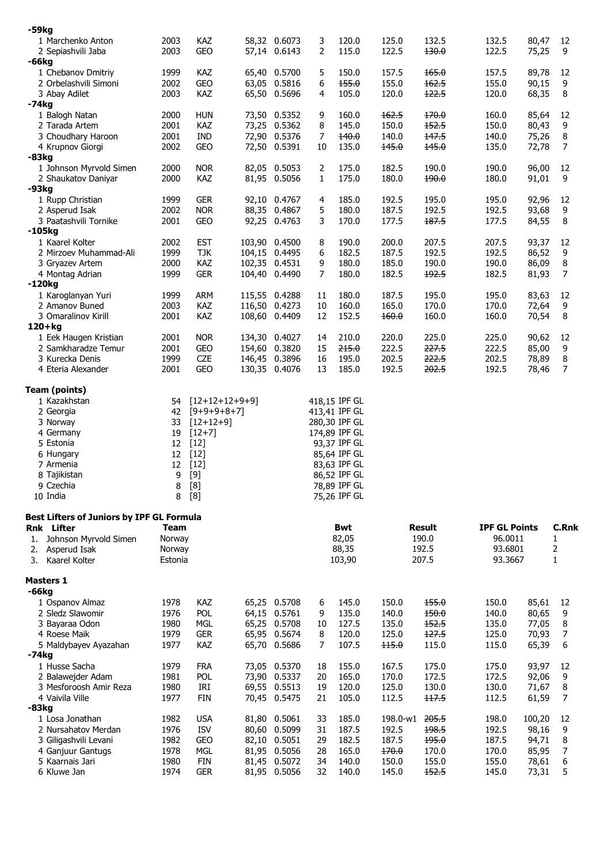| $-59kg$                                                 |              |                          |                                |                |                              |                |                |                      |                |                     |
|---------------------------------------------------------|--------------|--------------------------|--------------------------------|----------------|------------------------------|----------------|----------------|----------------------|----------------|---------------------|
| 1 Marchenko Anton                                       | 2003         | KAZ                      | 58,32 0.6073                   | 3              | 120.0                        | 125.0          | 132.5          | 132.5                | 80,47          | 12                  |
| 2 Sepiashvili Jaba                                      | 2003         | GEO                      | 57,14 0.6143                   | 2              | 115.0                        | 122.5          | 130.0          | 122.5                | 75,25          | 9                   |
| -66kg<br>1 Chebanov Dmitriy                             | 1999         | KAZ                      | 65,40 0.5700                   | 5              | 150.0                        | 157.5          | 165.0          | 157.5                | 89,78          | 12                  |
| 2 Orbelashvili Simoni                                   | 2002         | GEO                      | 63,05 0.5816                   | 6              | 155.0                        | 155.0          | 162.5          | 155.0                | 90,15          | 9                   |
| 3 Abay Adilet                                           | 2003         | KAZ                      | 65,50 0.5696                   | 4              | 105.0                        | 120.0          | 122.5          | 120.0                | 68,35          | 8                   |
| -74kg                                                   |              |                          |                                |                |                              |                |                |                      |                |                     |
| 1 Balogh Natan                                          | 2000         | <b>HUN</b>               | 73,50 0.5352                   | 9              | 160.0                        | 162.5          | 170.0          | 160.0                | 85,64          | 12                  |
| 2 Tarada Artem                                          | 2001         | KAZ                      | 73,25 0.5362                   | 8              | 145.0                        | 150.0          | 152.5          | 150.0                | 80,43          | 9                   |
| 3 Choudhary Haroon                                      | 2001<br>2002 | <b>IND</b><br><b>GEO</b> | 72,90 0.5376                   | 7<br>10        | 140.0<br>135.0               | 140.0<br>145.0 | 147.5<br>145.0 | 140.0<br>135.0       | 75,26<br>72,78 | 8<br>$\overline{7}$ |
| 4 Krupnov Giorgi<br>$-83kg$                             |              |                          | 72,50 0.5391                   |                |                              |                |                |                      |                |                     |
| 1 Johnson Myrvold Simen                                 | 2000         | <b>NOR</b>               | 82,05 0.5053                   | $\overline{2}$ | 175.0                        | 182.5          | 190.0          | 190.0                | 96,00          | 12                  |
| 2 Shaukatov Daniyar                                     | 2000         | KAZ                      | 81,95 0.5056                   | 1              | 175.0                        | 180.0          | 190.0          | 180.0                | 91,01          | 9                   |
| -93kg                                                   |              |                          |                                |                |                              |                |                |                      |                |                     |
| 1 Rupp Christian                                        | 1999         | <b>GER</b>               | 92,10 0.4767                   | $\overline{4}$ | 185.0                        | 192.5          | 195.0          | 195.0                | 92,96          | 12                  |
| 2 Asperud Isak                                          | 2002         | <b>NOR</b>               | 88,35 0.4867                   | 5              | 180.0                        | 187.5          | 192.5          | 192.5                | 93,68          | 9                   |
| 3 Paatashvili Tornike<br>$-105kg$                       | 2001         | <b>GEO</b>               | 92,25 0.4763                   | 3              | 170.0                        | 177.5          | 187.5          | 177.5                | 84,55          | 8                   |
| 1 Kaarel Kolter                                         | 2002         | <b>EST</b>               | 103,90 0.4500                  | 8              | 190.0                        | 200.0          | 207.5          | 207.5                | 93,37          | 12                  |
| 2 Mirzoev Muhammad-Ali                                  | 1999         | <b>TJK</b>               | 104,15 0.4495                  | 6              | 182.5                        | 187.5          | 192.5          | 192.5                | 86,52          | 9                   |
| 3 Gryazev Artem                                         | 2000         | KAZ                      | 102,35 0.4531                  | 9              | 180.0                        | 185.0          | 190.0          | 190.0                | 86,09          | $\bf 8$             |
| 4 Montag Adrian                                         | 1999         | <b>GER</b>               | 104,40 0.4490                  | 7              | 180.0                        | 182.5          | 192.5          | 182.5                | 81,93          | $\overline{7}$      |
| -120kg                                                  |              |                          |                                |                |                              |                |                |                      |                |                     |
| 1 Karoglanyan Yuri<br>2 Amanov Buned                    | 1999<br>2003 | ARM<br><b>KAZ</b>        | 115,55 0.4288<br>116,50 0.4273 | 11<br>10       | 180.0<br>160.0               | 187.5<br>165.0 | 195.0<br>170.0 | 195.0<br>170.0       | 83,63<br>72,64 | 12<br>9             |
| 3 Omaralinov Kirill                                     | 2001         | KAZ                      | 108,60 0.4409                  | 12             | 152.5                        | 160.0          | 160.0          | 160.0                | 70,54          | 8                   |
| $120 + kg$                                              |              |                          |                                |                |                              |                |                |                      |                |                     |
| 1 Eek Haugen Kristian                                   | 2001         | <b>NOR</b>               | 134,30 0.4027                  | 14             | 210.0                        | 220.0          | 225.0          | 225.0                | 90,62          | 12                  |
| 2 Samkharadze Temur                                     | 2001         | <b>GEO</b>               | 154,60 0.3820                  | 15             | 215.0                        | 222.5          | 227.5          | 222.5                | 85,00          | 9                   |
| 3 Kurecka Denis                                         | 1999         | <b>CZE</b>               | 146,45 0.3896                  | 16             | 195.0                        | 202.5          | 222.5          | 202.5                | 78,89          | 8                   |
| 4 Eteria Alexander                                      | 2001         | <b>GEO</b>               | 130,35 0.4076                  | 13             | 185.0                        | 192.5          | 202.5          | 192.5                | 78,46          | $\overline{7}$      |
| <b>Team (points)</b>                                    |              |                          |                                |                |                              |                |                |                      |                |                     |
| 1 Kazakhstan                                            | 54           | $[12+12+12+9+9]$         |                                |                | 418,15 IPF GL                |                |                |                      |                |                     |
| 2 Georgia                                               | 42           | $[9+9+9+8+7]$            |                                |                | 413,41 IPF GL                |                |                |                      |                |                     |
| 3 Norway                                                | 33           | $[12+12+9]$              |                                |                | 280,30 IPF GL                |                |                |                      |                |                     |
| 4 Germany                                               | 19           | $[12+7]$                 |                                |                | 174,89 IPF GL                |                |                |                      |                |                     |
| 5 Estonia                                               | 12           | $[12]$                   |                                |                | 93,37 IPF GL                 |                |                |                      |                |                     |
| 6 Hungary<br>7 Armenia                                  | 12           | 12 [12]<br>$[12]$        |                                |                | 85,64 IPF GL<br>83,63 IPF GL |                |                |                      |                |                     |
| 8 Tajikistan                                            | 9            | $[9]$                    |                                |                | 86,52 IPF GL                 |                |                |                      |                |                     |
| 9 Czechia                                               | 8            | $[8]$                    |                                |                | 78,89 IPF GL                 |                |                |                      |                |                     |
| 10 India                                                | 8            | [8]                      |                                |                | 75,26 IPF GL                 |                |                |                      |                |                     |
|                                                         |              |                          |                                |                |                              |                |                |                      |                |                     |
| Best Lifters of Juniors by IPF GL Formula<br>Rnk Lifter | Team         |                          |                                |                | <b>Bwt</b>                   |                | <b>Result</b>  | <b>IPF GL Points</b> |                | C.Rnk               |
| Johnson Myrvold Simen<br>1.                             | Norway       |                          |                                |                | 82,05                        |                | 190.0          | 96.0011              |                | 1                   |
| Asperud Isak<br>2.                                      | Norway       |                          |                                |                | 88,35                        |                | 192.5          | 93.6801              |                | 2                   |
| Kaarel Kolter<br>3.                                     | Estonia      |                          |                                |                | 103,90                       |                | 207.5          | 93.3667              |                | $\mathbf{1}$        |
|                                                         |              |                          |                                |                |                              |                |                |                      |                |                     |
| <b>Masters 1</b><br>-66kg                               |              |                          |                                |                |                              |                |                |                      |                |                     |
| 1 Ospanov Almaz                                         | 1978         | <b>KAZ</b>               | 65,25 0.5708                   | 6              | 145.0                        | 150.0          | 155.0          | 150.0                | 85,61          | 12                  |
| 2 Sledz Slawomir                                        | 1976         | <b>POL</b>               | 64,15 0.5761                   | 9              | 135.0                        | 140.0          | 150.0          | 140.0                | 80,65          | 9                   |
| 3 Bayaraa Odon                                          | 1980         | <b>MGL</b>               | 65,25 0.5708                   | 10             | 127.5                        | 135.0          | 152.5          | 135.0                | 77,05          | 8                   |
| 4 Roese Maik                                            | 1979         | <b>GER</b>               | 65,95 0.5674                   | 8              | 120.0                        | 125.0          | 127.5          | 125.0                | 70,93          | 7                   |
| 5 Maldybayev Ayazahan                                   | 1977         | KAZ                      | 65,70 0.5686                   | 7              | 107.5                        | 115.0          | 115.0          | 115.0                | 65,39          | 6                   |
| -74kg                                                   |              |                          |                                |                |                              |                |                |                      |                |                     |
| 1 Husse Sacha<br>2 Balawejder Adam                      | 1979<br>1981 | <b>FRA</b><br><b>POL</b> | 73,05 0.5370<br>73,90 0.5337   | 18<br>20       | 155.0<br>165.0               | 167.5<br>170.0 | 175.0<br>172.5 | 175.0<br>172.5       | 93,97<br>92,06 | 12<br>9             |
| 3 Mesforoosh Amir Reza                                  | 1980         | IRI                      | 69,55 0.5513                   | 19             | 120.0                        | 125.0          | 130.0          | 130.0                | 71,67          | 8                   |
| 4 Vaivila Ville                                         | 1977         | <b>FIN</b>               | 70,45 0.5475                   | 21             | 105.0                        | 112.5          | 117.5          | 112.5                | 61,59          | $\overline{7}$      |
| -83kg                                                   |              |                          |                                |                |                              |                |                |                      |                |                     |
| 1 Losa Jonathan                                         | 1982         | <b>USA</b>               | 81,80 0.5061                   | 33             | 185.0                        | 198.0-w1       | 205.5          | 198.0                | 100,20         | 12                  |
| 2 Nursahatov Merdan                                     | 1976         | <b>ISV</b>               | 80,60 0.5099                   | 31             | 187.5                        | 192.5          | 198.5          | 192.5                | 98,16          | 9                   |
| 3 Giligashvili Levani<br>4 Ganjuur Gantugs              | 1982<br>1978 | GEO<br>MGL               | 82,10 0.5051<br>81,95 0.5056   | 29<br>28       | 182.5<br>165.0               | 187.5<br>170.0 | 195.0<br>170.0 | 187.5<br>170.0       | 94,71<br>85,95 | 8<br>7              |
| 5 Kaarnais Jari                                         | 1980         | FIN                      | 81,45 0.5072                   | 34             | 140.0                        | 150.0          | 155.0          | 155.0                | 78,61          | 6                   |
| 6 Kluwe Jan                                             | 1974         | <b>GER</b>               | 81,95 0.5056                   | 32             | 140.0                        | 145.0          | 152.5          | 145.0                | 73,31          | 5                   |
|                                                         |              |                          |                                |                |                              |                |                |                      |                |                     |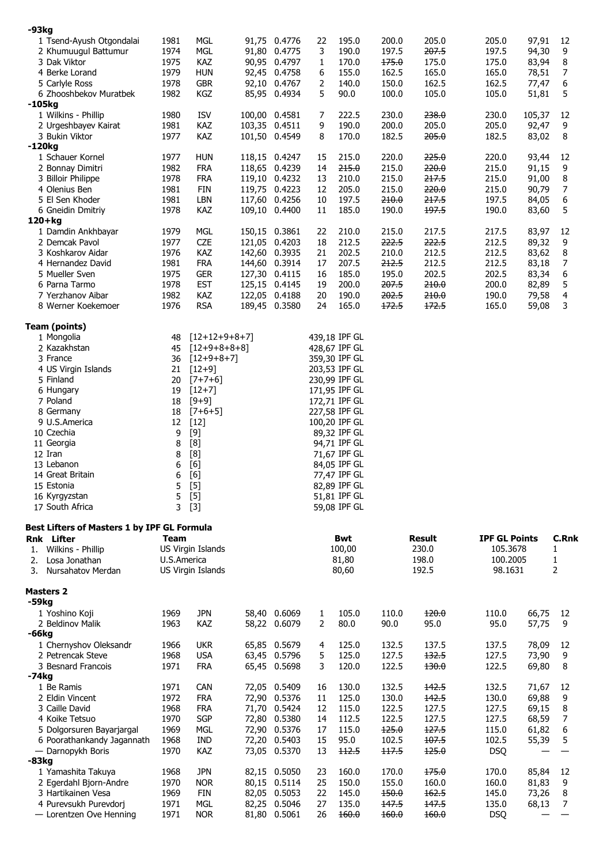| $-93kg$                                                                       |              |                   |                              |                |                |                |                |                                  |                |                |
|-------------------------------------------------------------------------------|--------------|-------------------|------------------------------|----------------|----------------|----------------|----------------|----------------------------------|----------------|----------------|
|                                                                               |              |                   |                              |                |                |                |                |                                  |                |                |
| 1 Tsend-Ayush Otgondalai                                                      | 1981         | <b>MGL</b>        | 91,75 0.4776<br>91,80 0.4775 | 22<br>3        | 195.0          | 200.0<br>197.5 | 205.0<br>207.5 | 205.0<br>197.5                   | 97,91          | 12             |
| 2 Khumuugul Battumur<br>3 Dak Viktor                                          | 1974<br>1975 | MGL<br>KAZ        | 90,95 0.4797                 | $\mathbf{1}$   | 190.0<br>170.0 | 175.0          | 175.0          | 175.0                            | 94,30<br>83,94 | 9<br>$\,8\,$   |
| 4 Berke Lorand                                                                | 1979         | <b>HUN</b>        | 92,45 0.4758                 | 6              | 155.0          | 162.5          | 165.0          | 165.0                            | 78,51          | 7              |
| 5 Carlyle Ross                                                                | 1978         | <b>GBR</b>        | 92,10 0.4767                 | $\overline{2}$ | 140.0          | 150.0          | 162.5          | 162.5                            | 77,47          | 6              |
| 6 Zhooshbekov Muratbek                                                        | 1982         | KGZ               | 85,95 0.4934                 | 5              | 90.0           | 100.0          | 105.0          | 105.0                            | 51,81          | 5              |
| -105kg                                                                        |              |                   |                              |                |                |                |                |                                  |                |                |
| 1 Wilkins - Phillip                                                           | 1980         | <b>ISV</b>        | 100,00 0.4581                | 7              | 222.5          | 230.0          | 238.0          | 230.0                            | 105,37         | 12             |
| 2 Urgeshbayev Kairat                                                          | 1981         | KAZ               | 103,35 0.4511                | 9              | 190.0          | 200.0          | 205.0          | 205.0                            | 92,47          | 9              |
| 3 Bukin Viktor                                                                | 1977         | KAZ               | 101,50 0.4549                | 8              | 170.0          | 182.5          | 205.0          | 182.5                            | 83,02          | 8              |
| $-120kg$                                                                      |              |                   |                              |                |                |                |                |                                  |                |                |
| 1 Schauer Kornel                                                              | 1977         | <b>HUN</b>        | 118,15 0.4247                | 15             | 215.0          | 220.0          | 225.0          | 220.0                            | 93,44          | 12             |
| 2 Bonnay Dimitri                                                              | 1982         | <b>FRA</b>        | 118,65 0.4239                | 14             | 215.0          | 215.0          | 220.0          | 215.0                            | 91,15          | 9              |
| 3 Billoir Philippe                                                            | 1978         | <b>FRA</b>        | 119,10 0.4232                | 13             | 210.0          | 215.0          | 217.5          | 215.0                            | 91,00          | $\,8\,$        |
| 4 Olenius Ben                                                                 | 1981         | <b>FIN</b>        | 119,75 0.4223                | 12             | 205.0          | 215.0          | 220.0          | 215.0                            | 90,79          | $\overline{7}$ |
| 5 El Sen Khoder                                                               | 1981         | LBN               | 117,60 0.4256                | 10             | 197.5          | 210.0          | 217.5          | 197.5                            | 84,05          | 6              |
| 6 Gneidin Dmitriy                                                             | 1978         | KAZ               | 109,10 0.4400                | 11             | 185.0          | 190.0          | 197.5          | 190.0                            | 83,60          | 5              |
| $120 + kg$                                                                    |              |                   |                              |                |                |                |                |                                  |                |                |
| 1 Damdin Ankhbayar                                                            | 1979         | MGL               | 150,15 0.3861                | 22             | 210.0          | 215.0          | 217.5          | 217.5                            | 83,97          | 12             |
| 2 Demcak Pavol                                                                | 1977         | <b>CZE</b>        | 121,05 0.4203                | 18             | 212.5          | 222.5          | 222.5          | 212.5                            | 89,32          | 9              |
| 3 Koshkarov Aidar                                                             | 1976         | KAZ               | 142,60 0.3935                | 21             | 202.5          | 210.0          | 212.5          | 212.5                            | 83,62          | $\,8\,$        |
| 4 Hernandez David                                                             | 1981         | <b>FRA</b>        | 144,60 0.3914                | 17             | 207.5          | 212.5          | 212.5          | 212.5                            | 83,18          | $\overline{7}$ |
| 5 Mueller Sven                                                                | 1975         | <b>GER</b>        | 127,30 0.4115                | 16             | 185.0          | 195.0          | 202.5          | 202.5                            | 83,34          | 6              |
| 6 Parna Tarmo                                                                 | 1978         | <b>EST</b>        | 125,15 0.4145                | 19             | 200.0          | 207.5          | 210.0          | 200.0                            | 82,89          | 5              |
| 7 Yerzhanov Aibar                                                             | 1982         | KAZ               | 122,05 0.4188                | 20             | 190.0          | 202.5          | 210.0          | 190.0                            | 79,58          | $\overline{4}$ |
| 8 Werner Koekemoer                                                            | 1976         | <b>RSA</b>        | 189,45 0.3580                | 24             | 165.0          | 172.5          | 172.5          | 165.0                            | 59,08          | 3              |
|                                                                               |              |                   |                              |                |                |                |                |                                  |                |                |
| <b>Team (points)</b>                                                          |              |                   |                              |                |                |                |                |                                  |                |                |
| 1 Mongolia                                                                    | 48           | $[12+12+9+8+7]$   |                              |                | 439,18 IPF GL  |                |                |                                  |                |                |
| 2 Kazakhstan                                                                  | 45           | $[12+9+8+8+8]$    |                              |                | 428,67 IPF GL  |                |                |                                  |                |                |
| 3 France                                                                      | 36           | $[12+9+8+7]$      |                              |                | 359,30 IPF GL  |                |                |                                  |                |                |
| 4 US Virgin Islands                                                           | 21           | $[12+9]$          |                              |                | 203,53 IPF GL  |                |                |                                  |                |                |
| 5 Finland                                                                     | 20           | $[7+7+6]$         |                              |                | 230,99 IPF GL  |                |                |                                  |                |                |
| 6 Hungary                                                                     | 19           | $[12+7]$          |                              |                | 171,95 IPF GL  |                |                |                                  |                |                |
| 7 Poland                                                                      | 18           | $[9+9]$           |                              |                | 172,71 IPF GL  |                |                |                                  |                |                |
| 8 Germany                                                                     | 18           | $[7+6+5]$         |                              |                | 227,58 IPF GL  |                |                |                                  |                |                |
| 9 U.S.America                                                                 | 12           | $[12]$            |                              |                | 100,20 IPF GL  |                |                |                                  |                |                |
| 10 Czechia                                                                    | 9            | $[9]$             |                              |                | 89,32 IPF GL   |                |                |                                  |                |                |
| 11 Georgia                                                                    | 8            | [8]               |                              |                | 94,71 IPF GL   |                |                |                                  |                |                |
| 12 Iran                                                                       | 8            | [8]               |                              |                | 71,67 IPF GL   |                |                |                                  |                |                |
|                                                                               | 6            | [6]               |                              |                | 84,05 IPF GL   |                |                |                                  |                |                |
| 13 Lebanon                                                                    |              |                   |                              |                |                |                |                |                                  |                |                |
| 14 Great Britain                                                              | 6            | [6]               |                              |                | 77,47 IPF GL   |                |                |                                  |                |                |
| 15 Estonia                                                                    | 5            | $[5]$             |                              |                | 82,89 IPF GL   |                |                |                                  |                |                |
| 16 Kyrgyzstan                                                                 | 5            | $[5]$             |                              |                | 51,81 IPF GL   |                |                |                                  |                |                |
| 17 South Africa                                                               | 3            | $[3]$             |                              |                | 59,08 IPF GL   |                |                |                                  |                |                |
|                                                                               |              |                   |                              |                |                |                |                |                                  |                |                |
|                                                                               | Team         |                   |                              |                | <b>Bwt</b>     |                | <b>Result</b>  |                                  |                | <b>C.Rnk</b>   |
| 1.                                                                            |              |                   |                              |                |                |                | 230.0          | <b>IPF GL Points</b><br>105.3678 |                | 1              |
| Wilkins - Phillip<br>2.                                                       | U.S.America  | US Virgin Islands |                              |                | 100,00         |                | 198.0          | 100.2005                         |                | 1              |
| Losa Jonathan<br>3.<br><b>Nursahatov Merdan</b>                               |              | US Virgin Islands |                              |                | 81,80<br>80,60 |                | 192.5          | 98.1631                          |                | 2              |
|                                                                               |              |                   |                              |                |                |                |                |                                  |                |                |
| Best Lifters of Masters 1 by IPF GL Formula<br>Rnk Lifter<br><b>Masters 2</b> |              |                   |                              |                |                |                |                |                                  |                |                |
|                                                                               |              |                   |                              |                |                |                |                |                                  |                |                |
| -59kg<br>1 Yoshino Koji                                                       | 1969         | <b>JPN</b>        | 58,40 0.6069                 | 1              | 105.0          | 110.0          | 120.0          | 110.0                            | 66,75          | 12             |
| 2 Beldinov Malik                                                              | 1963         | KAZ               | 58,22 0.6079                 | 2              | 80.0           | 90.0           | 95.0           | 95.0                             | 57,75          | 9              |
|                                                                               |              |                   |                              |                |                |                |                |                                  |                |                |
| 1 Chernyshov Oleksandr                                                        | 1966         | <b>UKR</b>        | 65,85 0.5679                 | 4              | 125.0          | 132.5          | 137.5          | 137.5                            | 78,09          | 12             |
| 2 Petrencak Steve                                                             | 1968         | <b>USA</b>        | 63,45 0.5796                 | 5              | 125.0          | 127.5          | 132.5          | 127.5                            | 73,90          | 9              |
| 3 Besnard Francois                                                            | 1971         | <b>FRA</b>        | 65,45 0.5698                 | 3              | 120.0          | 122.5          | 130.0          | 122.5                            | 69,80          | 8              |
|                                                                               |              |                   |                              |                |                |                |                |                                  |                |                |
| 1 Be Ramis                                                                    | 1971         | <b>CAN</b>        | 72,05 0.5409                 | 16             | 130.0          | 132.5          | 142.5          | 132.5                            | 71,67          | 12             |
| 2 Eldin Vincent                                                               | 1972         | <b>FRA</b>        | 72,90 0.5376                 | 11             | 125.0          | 130.0          | 142.5          | 130.0                            | 69,88          | 9              |
| 3 Caille David                                                                | 1968         | <b>FRA</b>        | 71,70 0.5424                 | 12             | 115.0          | 122.5          | 127.5          | 127.5                            | 69,15          | 8              |
| 4 Koike Tetsuo                                                                | 1970         | <b>SGP</b>        | 72,80 0.5380                 | 14             | 112.5          | 122.5          | 127.5          | 127.5                            | 68,59          | 7              |
| 5 Dolgorsuren Bayarjargal                                                     | 1969         | MGL               | 72,90 0.5376                 | 17             | 115.0          | 125.0          | 127.5          | 115.0                            | 61,82          | 6              |
| -66kg<br>-74kg<br>6 Poorathankandy Jagannath                                  | 1968         | <b>IND</b>        | 72,20 0.5403                 | 15             | 95.0           | 102.5          | 107.5          | 102.5                            | 55,39          | 5              |
| - Darnopykh Boris                                                             | 1970         | KAZ               | 73,05 0.5370                 | 13             | 112.5          | 117.5          | 125.0          | <b>DSQ</b>                       |                |                |
| $-83kg$                                                                       |              |                   |                              |                |                |                |                |                                  |                |                |
| 1 Yamashita Takuya                                                            | 1968         | <b>JPN</b>        | 82,15 0.5050                 | 23             | 160.0          | 170.0          | 175.0          | 170.0                            | 85,84          | 12             |
| 2 Egerdahl Bjorn-Andre                                                        | 1970         | <b>NOR</b>        | 80,15 0.5114                 | 25             | 150.0          | 155.0          | 160.0          | 160.0                            | 81,83          | 9              |
| 3 Hartikainen Vesa                                                            | 1969         | <b>FIN</b>        | 82,05 0.5053                 | 22             | 145.0          | 150.0          | 162.5          | 145.0                            | 73,26          | 8              |
| 4 Purevsukh Purevdorj<br>- Lorentzen Ove Henning                              | 1971<br>1971 | MGL<br><b>NOR</b> | 82,25 0.5046<br>81,80 0.5061 | 27<br>26       | 135.0<br>160.0 | 147.5<br>160.0 | 147.5<br>160.0 | 135.0<br><b>DSQ</b>              | 68,13          | $\overline{7}$ |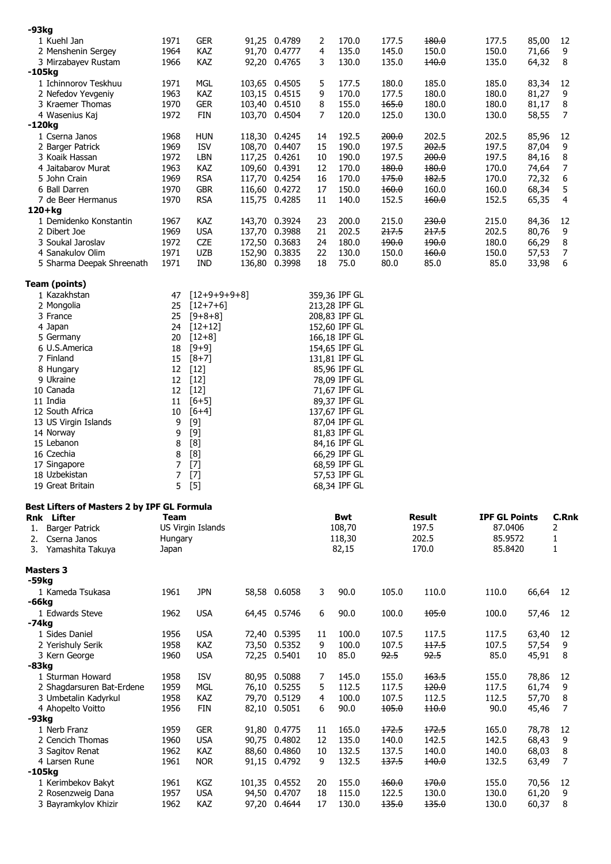| $-93kg$                                            |              |                          |                                |          |                              |                |                |                      |                |                     |
|----------------------------------------------------|--------------|--------------------------|--------------------------------|----------|------------------------------|----------------|----------------|----------------------|----------------|---------------------|
| 1 Kuehl Jan                                        | 1971         | <b>GER</b>               | 91,25 0.4789                   | 2        | 170.0                        | 177.5          | 180.0          | 177.5                | 85,00          | 12                  |
| 2 Menshenin Sergey                                 | 1964         | <b>KAZ</b>               | 91,70 0.4777                   | 4        | 135.0                        | 145.0          | 150.0          | 150.0                | 71,66          | 9                   |
| 3 Mirzabayev Rustam                                | 1966         | KAZ                      | 92,20 0.4765                   | 3        | 130.0                        | 135.0          | 140.0          | 135.0                | 64,32          | 8                   |
| -105kg                                             |              |                          |                                |          |                              |                |                |                      |                |                     |
| 1 Ichinnorov Teskhuu                               | 1971         | <b>MGL</b>               | 103,65 0.4505                  | 5        | 177.5                        | 180.0          | 185.0          | 185.0                | 83,34          | 12                  |
| 2 Nefedov Yevgeniy                                 | 1963         | KAZ                      | 103,15 0.4515                  | 9        | 170.0                        | 177.5          | 180.0          | 180.0                | 81,27          | 9                   |
| 3 Kraemer Thomas                                   | 1970<br>1972 | <b>GER</b>               | 103,40 0.4510                  | 8        | 155.0<br>120.0               | 165.0          | 180.0          | 180.0                | 81,17          | 8<br>7              |
| 4 Wasenius Kaj<br>-120kg                           |              | FIN                      | 103,70 0.4504                  | 7        |                              | 125.0          | 130.0          | 130.0                | 58,55          |                     |
| 1 Cserna Janos                                     | 1968         | <b>HUN</b>               | 118,30 0.4245                  | 14       | 192.5                        | 200.0          | 202.5          | 202.5                | 85,96          | 12                  |
| 2 Barger Patrick                                   | 1969         | <b>ISV</b>               | 108,70 0.4407                  | 15       | 190.0                        | 197.5          | 202.5          | 197.5                | 87,04          | 9                   |
| 3 Koaik Hassan                                     | 1972         | <b>LBN</b>               | 117,25 0.4261                  | 10       | 190.0                        | 197.5          | 200.0          | 197.5                | 84,16          | 8                   |
| 4 Jaitabarov Murat                                 | 1963         | KAZ                      | 109,60 0.4391                  | 12       | 170.0                        | 180.0          | 180.0          | 170.0                | 74,64          | 7                   |
| 5 John Crain                                       | 1969         | <b>RSA</b>               | 117,70 0.4254                  | 16       | 170.0                        | 175.0          | 182.5          | 170.0                | 72,32          | 6                   |
| 6 Ball Darren                                      | 1970         | <b>GBR</b>               | 116,60 0.4272                  | 17       | 150.0                        | 160.0          | 160.0          | 160.0                | 68,34          | 5                   |
| 7 de Beer Hermanus                                 | 1970         | <b>RSA</b>               | 115,75 0.4285                  | 11       | 140.0                        | 152.5          | 160.0          | 152.5                | 65,35          | 4                   |
| $120+kg$                                           |              |                          |                                |          |                              |                |                |                      |                |                     |
| 1 Demidenko Konstantin                             | 1967         | <b>KAZ</b>               | 143,70 0.3924                  | 23       | 200.0                        | 215.0          | 230.0          | 215.0                | 84,36          | 12                  |
| 2 Dibert Joe                                       | 1969         | <b>USA</b>               | 137,70 0.3988                  | 21       | 202.5                        | 217.5          | 217.5          | 202.5                | 80,76          | 9                   |
| 3 Soukal Jaroslav<br>4 Sanakulov Olim              | 1972<br>1971 | <b>CZE</b><br><b>UZB</b> | 172,50 0.3683<br>152,90 0.3835 | 24<br>22 | 180.0<br>130.0               | 190.0<br>150.0 | 190.0<br>160.0 | 180.0<br>150.0       | 66,29          | 8<br>7              |
| 5 Sharma Deepak Shreenath                          | 1971         | IND                      | 136,80 0.3998                  | 18       | 75.0                         | 80.0           | 85.0           | 85.0                 | 57,53<br>33,98 | 6                   |
|                                                    |              |                          |                                |          |                              |                |                |                      |                |                     |
| <b>Team (points)</b>                               |              |                          |                                |          |                              |                |                |                      |                |                     |
| 1 Kazakhstan                                       | 47           | $[12+9+9+9+8]$           |                                |          | 359,36 IPF GL                |                |                |                      |                |                     |
| 2 Mongolia                                         | 25           | $[12+7+6]$               |                                |          | 213,28 IPF GL                |                |                |                      |                |                     |
| 3 France                                           | 25           | $[9+8+8]$                |                                |          | 208,83 IPF GL                |                |                |                      |                |                     |
| 4 Japan                                            | 24           | $[12+12]$                |                                |          | 152,60 IPF GL                |                |                |                      |                |                     |
| 5 Germany                                          | 20           | $[12+8]$                 |                                |          | 166,18 IPF GL                |                |                |                      |                |                     |
| 6 U.S.America                                      | 18           | $[9+9]$                  |                                |          | 154,65 IPF GL                |                |                |                      |                |                     |
| 7 Finland                                          | 15           | $[8+7]$                  |                                |          | 131,81 IPF GL                |                |                |                      |                |                     |
| 8 Hungary<br>9 Ukraine                             | 12<br>12     | $[12]$<br>$[12]$         |                                |          | 85,96 IPF GL<br>78,09 IPF GL |                |                |                      |                |                     |
| 10 Canada                                          |              | 12 [12]                  |                                |          | 71,67 IPF GL                 |                |                |                      |                |                     |
| 11 India                                           | 11           | $[6+5]$                  |                                |          | 89,37 IPF GL                 |                |                |                      |                |                     |
| 12 South Africa                                    | 10           | $[6+4]$                  |                                |          | 137,67 IPF GL                |                |                |                      |                |                     |
| 13 US Virgin Islands                               | 9            | $[9]$                    |                                |          | 87,04 IPF GL                 |                |                |                      |                |                     |
| 14 Norway                                          | 9            | $[9]$                    |                                |          | 81,83 IPF GL                 |                |                |                      |                |                     |
| 15 Lebanon                                         | 8            | [8]                      |                                |          | 84,16 IPF GL                 |                |                |                      |                |                     |
| 16 Czechia                                         | 8            | [8]                      |                                |          | 66,29 IPF GL                 |                |                |                      |                |                     |
| 17 Singapore                                       | 7            | $[7]$                    |                                |          | 68,59 IPF GL                 |                |                |                      |                |                     |
| 18 Uzbekistan<br>19 Great Britain                  | 7            | $[7]$<br>5 [5]           |                                |          | 57,53 IPF GL<br>68,34 IPF GL |                |                |                      |                |                     |
|                                                    |              |                          |                                |          |                              |                |                |                      |                |                     |
| <b>Best Lifters of Masters 2 by IPF GL Formula</b> |              |                          |                                |          |                              |                |                |                      |                |                     |
| Rnk Lifter                                         | Team         |                          |                                |          | <b>Bwt</b>                   |                | <b>Result</b>  | <b>IPF GL Points</b> |                | C.Rnk               |
| <b>Barger Patrick</b><br>1.                        |              | US Virgin Islands        |                                |          | 108,70                       |                | 197.5          | 87.0406              |                | 2                   |
| Cserna Janos<br>2.                                 | Hungary      |                          |                                |          | 118,30                       |                | 202.5          | 85.9572              |                | 1                   |
| Yamashita Takuya<br>3.                             | Japan        |                          |                                |          | 82,15                        |                | 170.0          | 85.8420              |                | 1                   |
| <b>Masters 3</b>                                   |              |                          |                                |          |                              |                |                |                      |                |                     |
| -59kg                                              |              |                          |                                |          |                              |                |                |                      |                |                     |
| 1 Kameda Tsukasa                                   | 1961         | <b>JPN</b>               | 58,58 0.6058                   | 3        | 90.0                         | 105.0          | 110.0          | 110.0                | 66,64          | 12                  |
| -66kg                                              |              |                          |                                |          |                              |                |                |                      |                |                     |
| 1 Edwards Steve                                    | 1962         | <b>USA</b>               | 64,45 0.5746                   | 6        | 90.0                         | 100.0          | 105.0          | 100.0                | 57,46          | 12                  |
| -74kg                                              |              |                          |                                |          |                              |                |                |                      |                |                     |
| 1 Sides Daniel                                     | 1956         | <b>USA</b>               | 72,40 0.5395                   | 11       | 100.0                        | 107.5          | 117.5          | 117.5                | 63,40          | 12                  |
| 2 Yerishuly Serik                                  | 1958         | <b>KAZ</b>               | 73,50 0.5352                   | 9        | 100.0                        | 107.5          | 117.5          | 107.5                | 57,54          | 9                   |
| 3 Kern George                                      | 1960         | <b>USA</b>               | 72,25 0.5401                   | 10       | 85.0                         | 92.5           | 92.5           | 85.0                 | 45,91          | 8                   |
| -83kg                                              |              |                          |                                |          |                              |                |                |                      |                |                     |
| 1 Sturman Howard                                   | 1958         | <b>ISV</b>               | 80,95 0.5088                   | 7        | 145.0                        | 155.0          | 163.5          | 155.0                | 78,86          | 12                  |
| 2 Shagdarsuren Bat-Erdene                          | 1959         | MGL                      | 76,10 0.5255<br>79,70 0.5129   | 5        | 112.5                        | 117.5          | 120.0          | 117.5                | 61,74          | 9                   |
| 3 Umbetalin Kadyrkul<br>4 Ahopelto Voitto          | 1958<br>1956 | <b>KAZ</b><br>FIN        | 82,10 0.5051                   | 4<br>6   | 100.0<br>90.0                | 107.5<br>105.0 | 112.5<br>110.0 | 112.5<br>90.0        | 57,70<br>45,46 | 8<br>$\overline{7}$ |
| -93kg                                              |              |                          |                                |          |                              |                |                |                      |                |                     |
| 1 Nerb Franz                                       | 1959         | <b>GER</b>               | 91,80 0.4775                   | 11       | 165.0                        | 172.5          | 172.5          | 165.0                | 78,78          | 12                  |
| 2 Cencich Thomas                                   | 1960         | <b>USA</b>               | 90,75 0.4802                   | 12       | 135.0                        | 140.0          | 142.5          | 142.5                | 68,43          | 9                   |
| 3 Sagitov Renat                                    | 1962         | KAZ                      | 88,60 0.4860                   | 10       | 132.5                        | 137.5          | 140.0          | 140.0                | 68,03          | 8                   |
| 4 Larsen Rune                                      | 1961         | <b>NOR</b>               | 91,15 0.4792                   | 9        | 132.5                        | 137.5          | 140.0          | 132.5                | 63,49          | 7                   |
| -105kg                                             |              |                          |                                |          |                              |                |                |                      |                |                     |
| 1 Kerimbekov Bakyt                                 | 1961         | KGZ                      | 101,35 0.4552                  | 20       | 155.0                        | 160.0          | 170.0          | 155.0                | 70,56          | 12                  |
|                                                    |              |                          |                                |          |                              |                |                |                      |                |                     |
| 2 Rosenzweig Dana<br>3 Bayramkylov Khizir          | 1957<br>1962 | <b>USA</b><br>KAZ        | 94,50 0.4707<br>97,20 0.4644   | 18<br>17 | 115.0<br>130.0               | 122.5<br>135.0 | 130.0<br>135.0 | 130.0<br>130.0       | 61,20<br>60,37 | 9<br>8              |